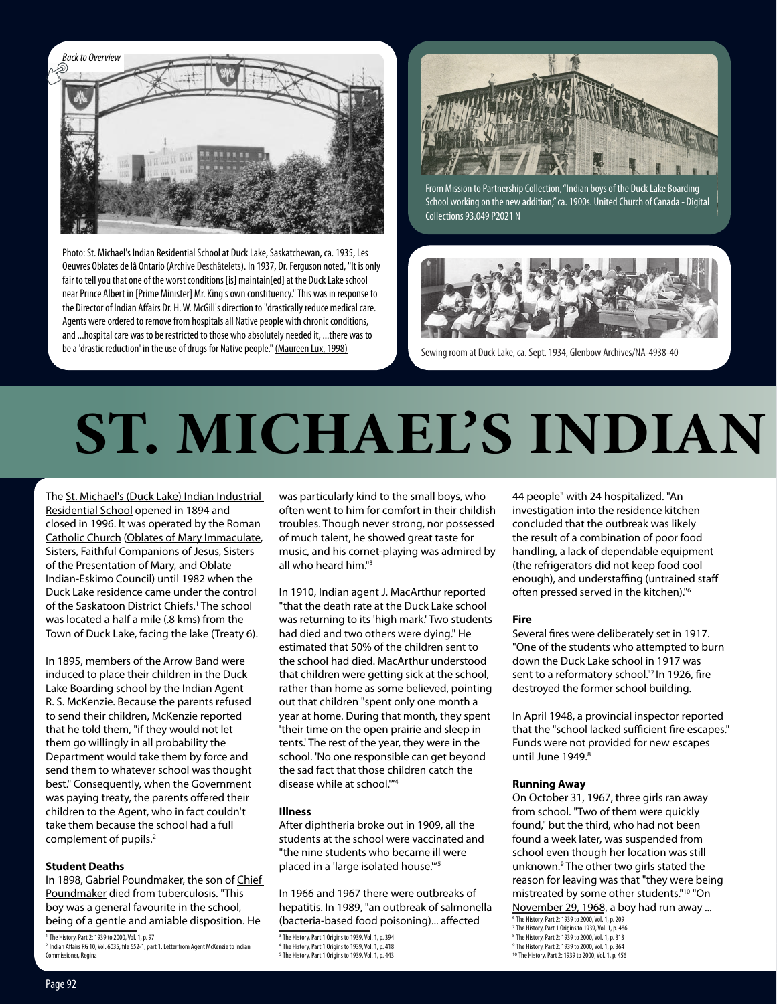

Photo: St. Michael's Indian Residential School at Duck Lake, Saskatchewan, ca. 1935, Les Oeuvres Oblates de lâ Ontario (Archive Deschâtelets). In 1937, Dr. Ferguson noted, "It is only fair to tell you that one of the worst conditions [is] maintain[ed] at the Duck Lake school near Prince Albert in [Prime Minister] Mr. King's own constituency." This was in response to the Director of Indian Affairs Dr. H. W. McGill's direction to "drastically reduce medical care. Agents were ordered to remove from hospitals all Native people with chronic conditions, and ...hospital care was to be restricted to those who absolutely needed it, ...there was to be a 'drastic reduction' in the use of drugs for Native people." [\(Maureen Lux, 1998\)](http://www.cbmh.ca/index.php/cbmh/article/view/407/406)



From Mission to Partnership Collection, "Indian boys of the Duck Lake Boarding [School working on the new addition," ca. 1900s. United Church of Canada - Digital](http://www.uccdigitalcollections.ca/items/show/1715)  Collections 93.049 P2021 N



Sewing room at Duck Lake, ca. Sept. 1934, Glenbow Archives/NA-4938-40

## **ST. MICHAEL'S INDIAN**

The [St. Michael's \(Duck Lake\) Indian Industrial](http://nctr.ca/School%20narratives/SK/ST%20MICHAELS.pdf)  [Residential School](http://nctr.ca/School%20narratives/SK/ST%20MICHAELS.pdf) opened in 1894 and closed in 1996. It was operated by the [Roman](http://www.cccb.ca/site/eng/media-room/files/2630-apology-on-residential-schools-by-the-catholic-church)  [Catholic Church](http://www.cccb.ca/site/eng/media-room/files/2630-apology-on-residential-schools-by-the-catholic-church) [\(Oblates of Mary Immaculate](http://www.cccb.ca/site/images/stories/pdf/oblate_apology_english.pdf), Sisters, Faithful Companions of Jesus, Sisters of the Presentation of Mary, and Oblate Indian-Eskimo Council) until 1982 when the Duck Lake residence came under the control of the Saskatoon District Chiefs.1 The school was located a half a mile (.8 kms) from the [Town of Duck Lake](https://www.youtube.com/watch?v=knBkPw63ODw), facing the lake ([Treaty 6\)](https://www.aadnc-aandc.gc.ca/eng/1100100028706/1100100028708).

In 1895, members of the Arrow Band were induced to place their children in the Duck Lake Boarding school by the Indian Agent R. S. McKenzie. Because the parents refused to send their children, McKenzie reported that he told them, "if they would not let them go willingly in all probability the Department would take them by force and send them to whatever school was thought best." Consequently, when the Government was paying treaty, the parents offered their children to the Agent, who in fact couldn't take them because the school had a full complement of pupils.<sup>2</sup>

### **Student Deaths**

In 1898, Gabriel Poundmaker, the son of Chief [Poundmaker](http://library.usask.ca/northwest/background/pound.htm) died from tuberculosis. "This boy was a general favourite in the school, being of a gentle and amiable disposition. He

<sup>1</sup> The History, Part 2: 1939 to 2000, Vol. 1, p. 97

was particularly kind to the small boys, who often went to him for comfort in their childish troubles. Though never strong, nor possessed of much talent, he showed great taste for music, and his cornet-playing was admired by all who heard him."<sup>3</sup>

In 1910, Indian agent J. MacArthur reported "that the death rate at the Duck Lake school was returning to its 'high mark.' Two students had died and two others were dying." He estimated that 50% of the children sent to the school had died. MacArthur understood that children were getting sick at the school, rather than home as some believed, pointing out that children "spent only one month a year at home. During that month, they spent 'their time on the open prairie and sleep in tents.' The rest of the year, they were in the school. 'No one responsible can get beyond the sad fact that those children catch the disease while at school.'"4

### **Illness**

After diphtheria broke out in 1909, all the students at the school were vaccinated and "the nine students who became ill were placed in a 'large isolated house.'"5

In 1966 and 1967 there were outbreaks of hepatitis. In 1989, "an outbreak of salmonella (bacteria-based food poisoning)... affected

44 people" with 24 hospitalized. "An investigation into the residence kitchen concluded that the outbreak was likely the result of a combination of poor food handling, a lack of dependable equipment (the refrigerators did not keep food cool enough), and understaffing (untrained staff often pressed served in the kitchen)."6

### **Fire**

Several fires were deliberately set in 1917. "One of the students who attempted to burn down the Duck Lake school in 1917 was sent to a reformatory school."7 In 1926, fire destroyed the former school building.

In April 1948, a provincial inspector reported that the "school lacked sufficient fire escapes." Funds were not provided for new escapes until June 1949.<sup>8</sup>

### **Running Away**

On October 31, 1967, three girls ran away from school. "Two of them were quickly found," but the third, who had not been found a week later, was suspended from school even though her location was still unknown.9 The other two girls stated the reason for leaving was that "they were being mistreated by some other students."10 "On November 29, 1968, a boy had run away ...

<sup>6</sup> The History, Part 2: 1939 to 2000, Vol. 1, p. 209 <sup>7</sup> The History, Part 1 Origins to 1939, Vol. 1, p. 486

<sup>8</sup> The History, Part 2: 1939 to 2000, Vol. 1, p. 313

<sup>10</sup> The History, Part 2: 1939 to 2000, Vol. 1, p. 456

<sup>2</sup> Indian Affairs RG 10, Vol. 6035, file 652-1, part 1. Letter from Agent McKenzie to Indian Commissioner, Regina

<sup>&</sup>lt;sup>3</sup> The History, Part 1 Origins to 1939, Vol. 1, p. 394

<sup>4</sup> The History, Part 1 Origins to 1939, Vol. 1, p. 418

<sup>5</sup> The History, Part 1 Origins to 1939, Vol. 1, p. 443

<sup>9</sup> The History, Part 2: 1939 to 2000, Vol. 1, p. 364